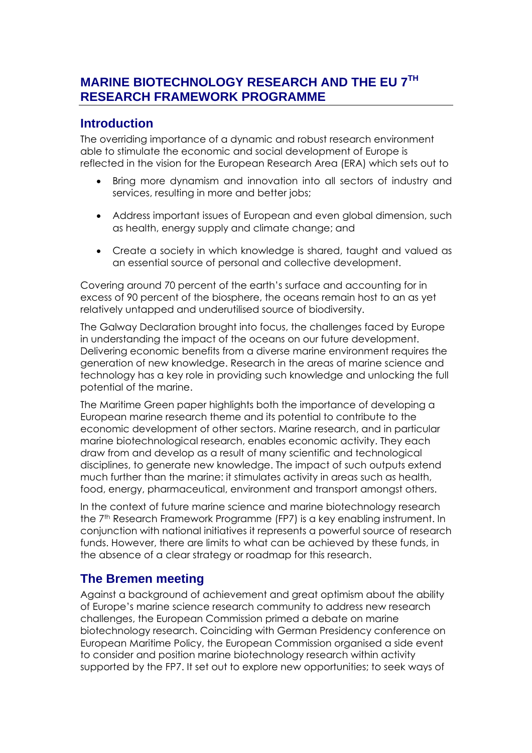# **MARINE BIOTECHNOLOGY RESEARCH AND THE EU 7TH RESEARCH FRAMEWORK PROGRAMME**

### **Introduction**

The overriding importance of a dynamic and robust research environment able to stimulate the economic and social development of Europe is reflected in the vision for the European Research Area (ERA) which sets out to

- Bring more dynamism and innovation into all sectors of industry and services, resulting in more and better jobs;
- Address important issues of European and even global dimension, such as health, energy supply and climate change; and
- Create a society in which knowledge is shared, taught and valued as an essential source of personal and collective development.

Covering around 70 percent of the earth's surface and accounting for in excess of 90 percent of the biosphere, the oceans remain host to an as yet relatively untapped and underutilised source of biodiversity.

The Galway Declaration brought into focus, the challenges faced by Europe in understanding the impact of the oceans on our future development. Delivering economic benefits from a diverse marine environment requires the generation of new knowledge. Research in the areas of marine science and technology has a key role in providing such knowledge and unlocking the full potential of the marine.

The Maritime Green paper highlights both the importance of developing a European marine research theme and its potential to contribute to the economic development of other sectors. Marine research, and in particular marine biotechnological research, enables economic activity. They each draw from and develop as a result of many scientific and technological disciplines, to generate new knowledge. The impact of such outputs extend much further than the marine: it stimulates activity in areas such as health, food, energy, pharmaceutical, environment and transport amongst others.

In the context of future marine science and marine biotechnology research the 7<sup>th</sup> Research Framework Programme (FP7) is a key enabling instrument. In conjunction with national initiatives it represents a powerful source of research funds. However, there are limits to what can be achieved by these funds, in the absence of a clear strategy or roadmap for this research.

## **The Bremen meeting**

Against a background of achievement and great optimism about the ability of Europe's marine science research community to address new research challenges, the European Commission primed a debate on marine biotechnology research. Coinciding with German Presidency conference on European Maritime Policy, the European Commission organised a side event to consider and position marine biotechnology research within activity supported by the FP7. It set out to explore new opportunities; to seek ways of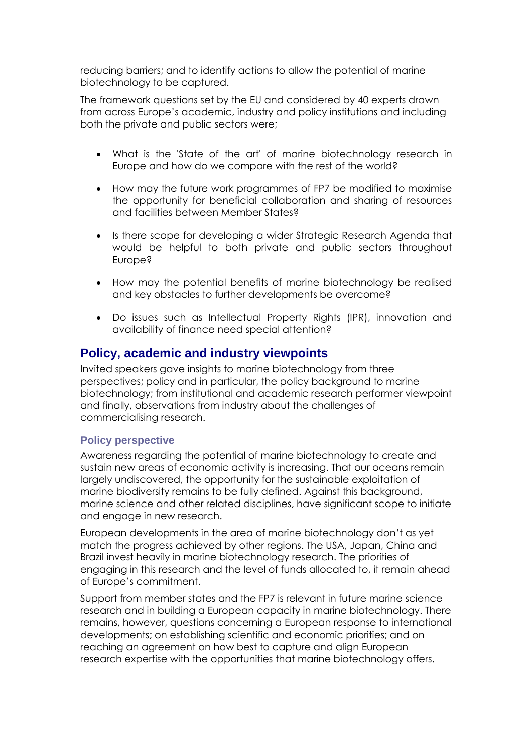reducing barriers; and to identify actions to allow the potential of marine biotechnology to be captured.

The framework questions set by the EU and considered by 40 experts drawn from across Europe's academic, industry and policy institutions and including both the private and public sectors were;

- What is the 'State of the art' of marine biotechnology research in Europe and how do we compare with the rest of the world?
- How may the future work programmes of FP7 be modified to maximise the opportunity for beneficial collaboration and sharing of resources and facilities between Member States?
- Is there scope for developing a wider Strategic Research Agenda that would be helpful to both private and public sectors throughout Europe?
- How may the potential benefits of marine biotechnology be realised and key obstacles to further developments be overcome?
- Do issues such as Intellectual Property Rights (IPR), innovation and availability of finance need special attention?

### **Policy, academic and industry viewpoints**

Invited speakers gave insights to marine biotechnology from three perspectives; policy and in particular, the policy background to marine biotechnology; from institutional and academic research performer viewpoint and finally, observations from industry about the challenges of commercialising research.

#### **Policy perspective**

Awareness regarding the potential of marine biotechnology to create and sustain new areas of economic activity is increasing. That our oceans remain largely undiscovered, the opportunity for the sustainable exploitation of marine biodiversity remains to be fully defined. Against this background, marine science and other related disciplines, have significant scope to initiate and engage in new research.

European developments in the area of marine biotechnology don't as yet match the progress achieved by other regions. The USA, Japan, China and Brazil invest heavily in marine biotechnology research. The priorities of engaging in this research and the level of funds allocated to, it remain ahead of Europe's commitment.

Support from member states and the FP7 is relevant in future marine science research and in building a European capacity in marine biotechnology. There remains, however, questions concerning a European response to international developments; on establishing scientific and economic priorities; and on reaching an agreement on how best to capture and align European research expertise with the opportunities that marine biotechnology offers.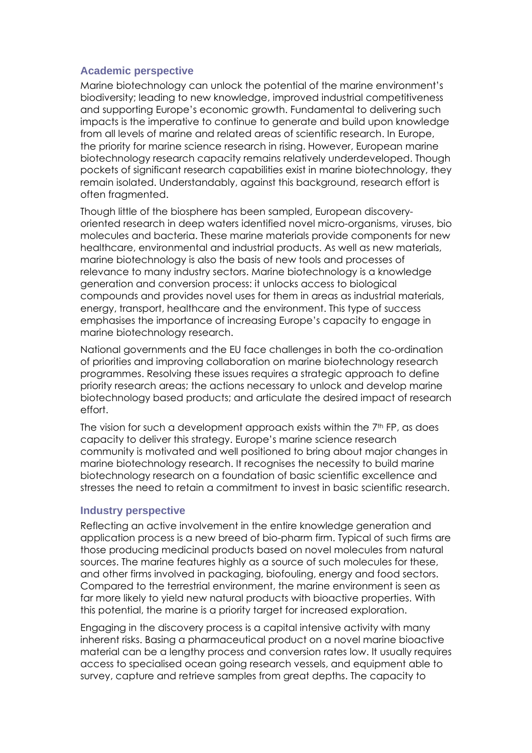#### **Academic perspective**

Marine biotechnology can unlock the potential of the marine environment's biodiversity; leading to new knowledge, improved industrial competitiveness and supporting Europe's economic growth. Fundamental to delivering such impacts is the imperative to continue to generate and build upon knowledge from all levels of marine and related areas of scientific research. In Europe, the priority for marine science research in rising. However, European marine biotechnology research capacity remains relatively underdeveloped. Though pockets of significant research capabilities exist in marine biotechnology, they remain isolated. Understandably, against this background, research effort is often fragmented.

Though little of the biosphere has been sampled, European discoveryoriented research in deep waters identified novel micro-organisms, viruses, bio molecules and bacteria. These marine materials provide components for new healthcare, environmental and industrial products. As well as new materials, marine biotechnology is also the basis of new tools and processes of relevance to many industry sectors. Marine biotechnology is a knowledge generation and conversion process: it unlocks access to biological compounds and provides novel uses for them in areas as industrial materials, energy, transport, healthcare and the environment. This type of success emphasises the importance of increasing Europe's capacity to engage in marine biotechnology research.

National governments and the EU face challenges in both the co-ordination of priorities and improving collaboration on marine biotechnology research programmes. Resolving these issues requires a strategic approach to define priority research areas; the actions necessary to unlock and develop marine biotechnology based products; and articulate the desired impact of research effort.

The vision for such a development approach exists within the  $7<sup>th</sup>$  FP, as does capacity to deliver this strategy. Europe's marine science research community is motivated and well positioned to bring about major changes in marine biotechnology research. It recognises the necessity to build marine biotechnology research on a foundation of basic scientific excellence and stresses the need to retain a commitment to invest in basic scientific research.

#### **Industry perspective**

Reflecting an active involvement in the entire knowledge generation and application process is a new breed of bio-pharm firm. Typical of such firms are those producing medicinal products based on novel molecules from natural sources. The marine features highly as a source of such molecules for these, and other firms involved in packaging, biofouling, energy and food sectors. Compared to the terrestrial environment, the marine environment is seen as far more likely to yield new natural products with bioactive properties. With this potential, the marine is a priority target for increased exploration.

Engaging in the discovery process is a capital intensive activity with many inherent risks. Basing a pharmaceutical product on a novel marine bioactive material can be a lengthy process and conversion rates low. It usually requires access to specialised ocean going research vessels, and equipment able to survey, capture and retrieve samples from great depths. The capacity to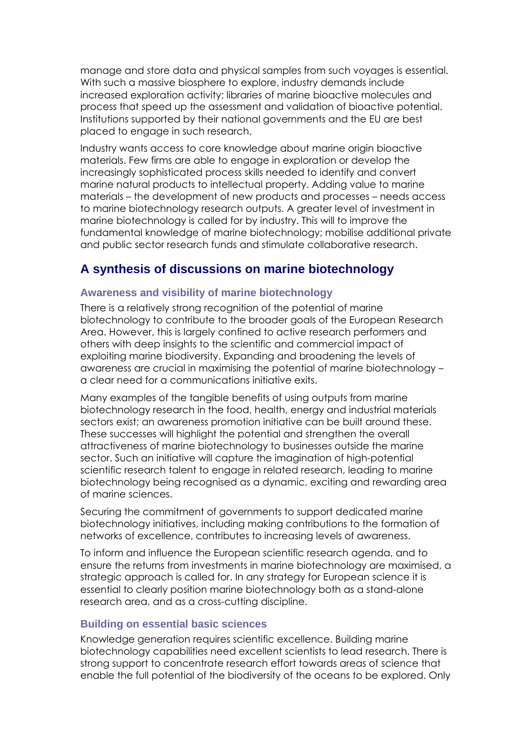manage and store data and physical samples from such voyages is essential. With such a massive biosphere to explore, industry demands include increased exploration activity; libraries of marine bioactive molecules and process that speed up the assessment and validation of bioactive potential. Institutions supported by their national governments and the EU are best placed to engage in such research.

Industry wants access to core knowledge about marine origin bioactive materials. Few firms are able to engage in exploration or develop the increasingly sophisticated process skills needed to identify and convert marine natural products to intellectual property. Adding value to marine materials – the development of new products and processes – needs access to marine biotechnology research outputs. A greater level of investment in marine biotechnology is called for by industry. This will to improve the fundamental knowledge of marine biotechnology; mobilise additional private and public sector research funds and stimulate collaborative research.

### **A synthesis of discussions on marine biotechnology**

#### **Awareness and visibility of marine biotechnology**

There is a relatively strong recognition of the potential of marine biotechnology to contribute to the broader goals of the European Research Area. However, this is largely confined to active research performers and others with deep insights to the scientific and commercial impact of exploiting marine biodiversity. Expanding and broadening the levels of awareness are crucial in maximising the potential of marine biotechnology – a clear need for a communications initiative exits.

Many examples of the tangible benefits of using outputs from marine biotechnology research in the food, health, energy and industrial materials sectors exist; an awareness promotion initiative can be built around these. These successes will highlight the potential and strengthen the overall attractiveness of marine biotechnology to businesses outside the marine sector. Such an initiative will capture the imagination of high-potential scientific research talent to engage in related research, leading to marine biotechnology being recognised as a dynamic, exciting and rewarding area of marine sciences.

Securing the commitment of governments to support dedicated marine biotechnology initiatives, including making contributions to the formation of networks of excellence, contributes to increasing levels of awareness.

To inform and influence the European scientific research agenda, and to ensure the returns from investments in marine biotechnology are maximised, a strategic approach is called for. In any strategy for European science it is essential to clearly position marine biotechnology both as a stand-alone research area, and as a cross-cutting discipline.

#### **Building on essential basic sciences**

Knowledge generation requires scientific excellence. Building marine biotechnology capabilities need excellent scientists to lead research. There is strong support to concentrate research effort towards areas of science that enable the full potential of the biodiversity of the oceans to be explored. Only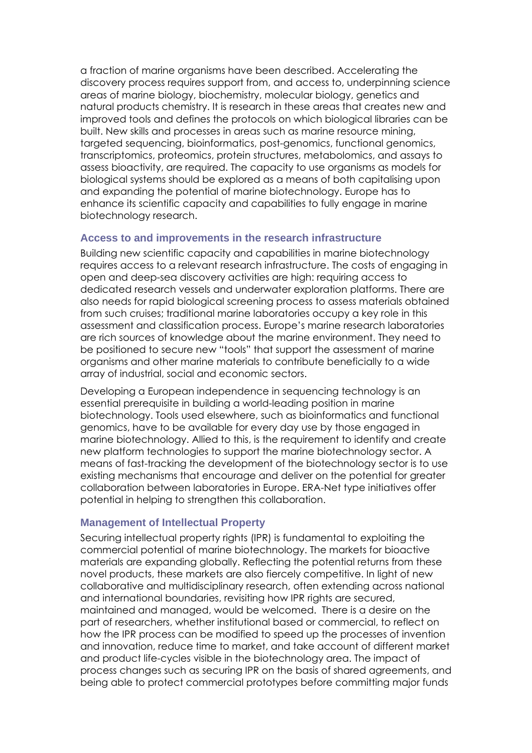a fraction of marine organisms have been described. Accelerating the discovery process requires support from, and access to, underpinning science areas of marine biology, biochemistry, molecular biology, genetics and natural products chemistry. It is research in these areas that creates new and improved tools and defines the protocols on which biological libraries can be built. New skills and processes in areas such as marine resource mining, targeted sequencing, bioinformatics, post-genomics, functional genomics, transcriptomics, proteomics, protein structures, metabolomics, and assays to assess bioactivity, are required. The capacity to use organisms as models for biological systems should be explored as a means of both capitalising upon and expanding the potential of marine biotechnology. Europe has to enhance its scientific capacity and capabilities to fully engage in marine biotechnology research.

#### **Access to and improvements in the research infrastructure**

Building new scientific capacity and capabilities in marine biotechnology requires access to a relevant research infrastructure. The costs of engaging in open and deep-sea discovery activities are high: requiring access to dedicated research vessels and underwater exploration platforms. There are also needs for rapid biological screening process to assess materials obtained from such cruises; traditional marine laboratories occupy a key role in this assessment and classification process. Europe's marine research laboratories are rich sources of knowledge about the marine environment. They need to be positioned to secure new "tools" that support the assessment of marine organisms and other marine materials to contribute beneficially to a wide array of industrial, social and economic sectors.

Developing a European independence in sequencing technology is an essential prerequisite in building a world-leading position in marine biotechnology. Tools used elsewhere, such as bioinformatics and functional genomics, have to be available for every day use by those engaged in marine biotechnology. Allied to this, is the requirement to identify and create new platform technologies to support the marine biotechnology sector. A means of fast-tracking the development of the biotechnology sector is to use existing mechanisms that encourage and deliver on the potential for greater collaboration between laboratories in Europe. ERA-Net type initiatives offer potential in helping to strengthen this collaboration.

#### **Management of Intellectual Property**

Securing intellectual property rights (IPR) is fundamental to exploiting the commercial potential of marine biotechnology. The markets for bioactive materials are expanding globally. Reflecting the potential returns from these novel products, these markets are also fiercely competitive. In light of new collaborative and multidisciplinary research, often extending across national and international boundaries, revisiting how IPR rights are secured, maintained and managed, would be welcomed. There is a desire on the part of researchers, whether institutional based or commercial, to reflect on how the IPR process can be modified to speed up the processes of invention and innovation, reduce time to market, and take account of different market and product life-cycles visible in the biotechnology area. The impact of process changes such as securing IPR on the basis of shared agreements, and being able to protect commercial prototypes before committing major funds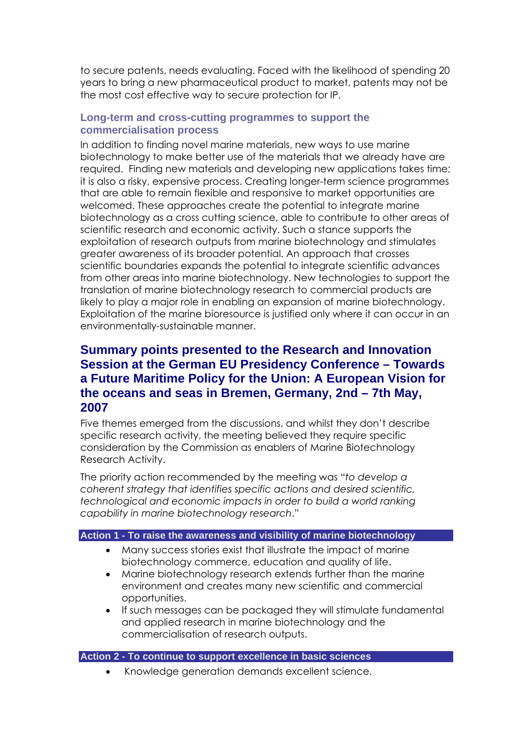to secure patents, needs evaluating. Faced with the likelihood of spending 20 years to bring a new pharmaceutical product to market, patents may not be the most cost effective way to secure protection for IP.

#### **Long-term and cross-cutting programmes to support the commercialisation process**

In addition to finding novel marine materials, new ways to use marine biotechnology to make better use of the materials that we already have are required. Finding new materials and developing new applications takes time; it is also a risky, expensive process. Creating longer-term science programmes that are able to remain flexible and responsive to market opportunities are welcomed. These approaches create the potential to integrate marine biotechnology as a cross cutting science, able to contribute to other areas of scientific research and economic activity. Such a stance supports the exploitation of research outputs from marine biotechnology and stimulates greater awareness of its broader potential. An approach that crosses scientific boundaries expands the potential to integrate scientific advances from other areas into marine biotechnology. New technologies to support the translation of marine biotechnology research to commercial products are likely to play a major role in enabling an expansion of marine biotechnology. Exploitation of the marine bioresource is justified only where it can occur in an environmentally-sustainable manner.

### **Summary points presented to the Research and Innovation Session at the German EU Presidency Conference – Towards a Future Maritime Policy for the Union: A European Vision for the oceans and seas in Bremen, Germany, 2nd – 7th May, 2007**

Five themes emerged from the discussions, and whilst they don't describe specific research activity, the meeting believed they require specific consideration by the Commission as enablers of Marine Biotechnology Research Activity.

The priority action recommended by the meeting was "*to develop a coherent strategy that identifies specific actions and desired scientific, technological and economic impacts in order to build a world ranking capability in marine biotechnology research*."

#### **Action 1 - To raise the awareness and visibility of marine biotechnology**

- Many success stories exist that illustrate the impact of marine biotechnology commerce, education and quality of life.
- Marine biotechnology research extends further than the marine environment and creates many new scientific and commercial opportunities.
- If such messages can be packaged they will stimulate fundamental and applied research in marine biotechnology and the commercialisation of research outputs.

#### **Action 2 - To continue to support excellence in basic sciences**

• Knowledge generation demands excellent science.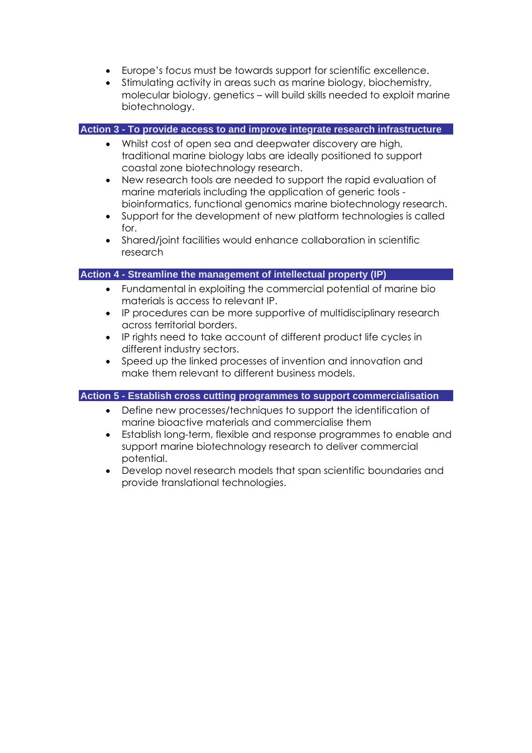- Europe's focus must be towards support for scientific excellence.
- Stimulating activity in areas such as marine biology, biochemistry, molecular biology, genetics – will build skills needed to exploit marine biotechnology.

#### **Action 3 - To provide access to and improve integrate research infrastructure**

- Whilst cost of open sea and deepwater discovery are high, traditional marine biology labs are ideally positioned to support coastal zone biotechnology research.
- New research tools are needed to support the rapid evaluation of marine materials including the application of generic tools bioinformatics, functional genomics marine biotechnology research.
- Support for the development of new platform technologies is called for.
- Shared/joint facilities would enhance collaboration in scientific research

#### **Action 4 - Streamline the management of intellectual property (IP)**

- Fundamental in exploiting the commercial potential of marine bio materials is access to relevant IP.
- IP procedures can be more supportive of multidisciplinary research across territorial borders.
- IP rights need to take account of different product life cycles in different industry sectors.
- Speed up the linked processes of invention and innovation and make them relevant to different business models.

#### **Action 5 - Establish cross cutting programmes to support commercialisation**

- Define new processes/techniques to support the identification of marine bioactive materials and commercialise them
- Establish long-term, flexible and response programmes to enable and support marine biotechnology research to deliver commercial potential.
- Develop novel research models that span scientific boundaries and provide translational technologies.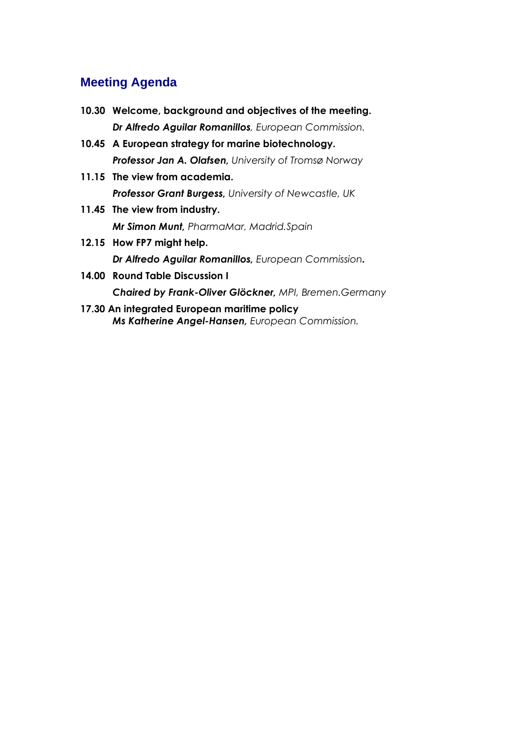## **Meeting Agenda**

- **10.30 Welcome, background and objectives of the meeting.**  *Dr Alfredo Aguilar Romanillos, European Commission.*
- **10.45 A European strategy for marine biotechnology.**  *Professor Jan A. Olafsen, University of Tromsø Norway*
- **11.15 The view from academia.**  *Professor Grant Burgess, University of Newcastle, UK*
- **11.45 The view from industry.**  *Mr Simon Munt, PharmaMar, Madrid.Spain*
- **12.15 How FP7 might help.**  *Dr Alfredo Aguilar Romanillos, European Commission.*
- **14.00 Round Table Discussion I**  *Chaired by Frank-Oliver Glöckner, MPI, Bremen.Germany*
- **17.30 An integrated European maritime policy**  *Ms Katherine Angel-Hansen, European Commission.*